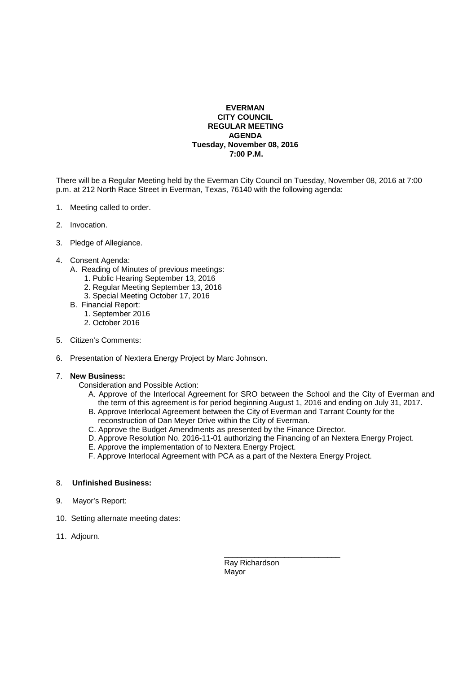## **EVERMAN CITY COUNCIL REGULAR MEETING AGENDA Tuesday, November 08, 2016 7:00 P.M.**

There will be a Regular Meeting held by the Everman City Council on Tuesday, November 08, 2016 at 7:00 p.m. at 212 North Race Street in Everman, Texas, 76140 with the following agenda:

- 1. Meeting called to order.
- 2. Invocation.
- 3. Pledge of Allegiance.
- 4. Consent Agenda:
	- A. Reading of Minutes of previous meetings:
		- 1. Public Hearing September 13, 2016
		- 2. Regular Meeting September 13, 2016
		- 3. Special Meeting October 17, 2016
	- B. Financial Report:
		- 1. September 2016
		- 2. October 2016
- 5. Citizen's Comments:
- 6. Presentation of Nextera Energy Project by Marc Johnson.

## 7. **New Business:**

Consideration and Possible Action:

- A. Approve of the Interlocal Agreement for SRO between the School and the City of Everman and the term of this agreement is for period beginning August 1, 2016 and ending on July 31, 2017.
- B. Approve Interlocal Agreement between the City of Everman and Tarrant County for the reconstruction of Dan Meyer Drive within the City of Everman.
- C. Approve the Budget Amendments as presented by the Finance Director.
- D. Approve Resolution No. 2016-11-01 authorizing the Financing of an Nextera Energy Project.
- E. Approve the implementation of to Nextera Energy Project.

\_\_\_\_\_\_\_\_\_\_\_\_\_\_\_\_\_\_\_\_\_\_\_\_\_\_\_

F. Approve Interlocal Agreement with PCA as a part of the Nextera Energy Project.

## 8. **Unfinished Business:**

- 9. Mayor's Report:
- 10. Setting alternate meeting dates:
- 11. Adjourn.

 Ray Richardson Mayor